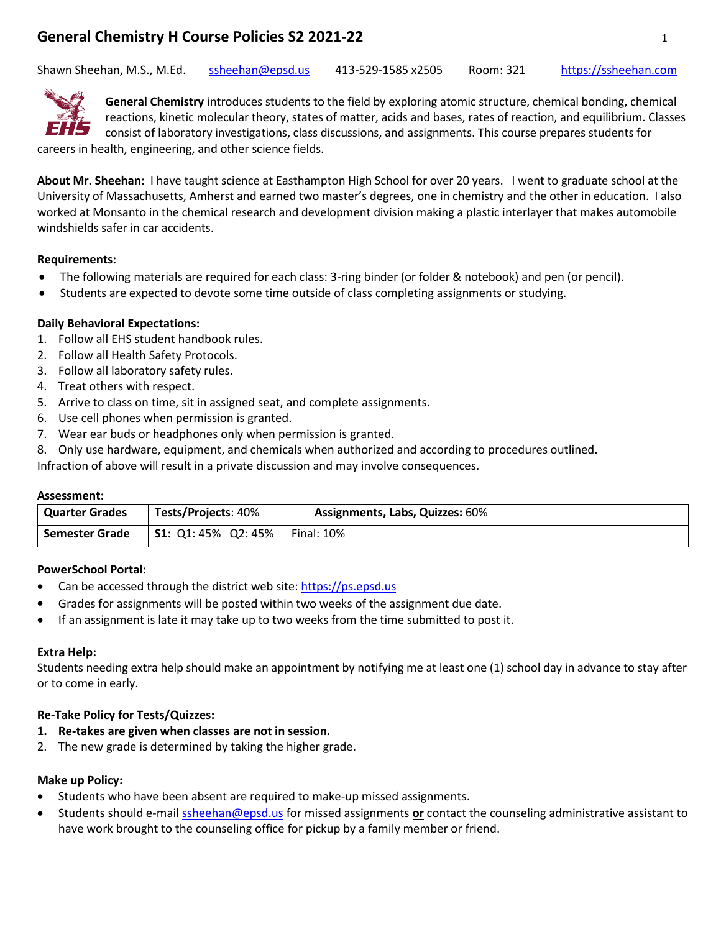# **General Chemistry H Course Policies S2 2021-22** 1

Shawn Sheehan, M.S., M.Ed. [ssheehan@epsd.us](mailto:ssheehan@epsd.us) 413-529-1585 x2505 Room: 321 [https://ssheehan.com](https://ssheehan.com/)



**General Chemistry** introduces students to the field by exploring atomic structure, chemical bonding, chemical reactions, kinetic molecular theory, states of matter, acids and bases, rates of reaction, and equilibrium. Classes consist of laboratory investigations, class discussions, and assignments. This course prepares students for careers in health, engineering, and other science fields.

**About Mr. Sheehan:** I have taught science at Easthampton High School for over 20 years. I went to graduate school at the University of Massachusetts, Amherst and earned two master's degrees, one in chemistry and the other in education. I also worked at Monsanto in the chemical research and development division making a plastic interlayer that makes automobile windshields safer in car accidents.

## **Requirements:**

- The following materials are required for each class: 3-ring binder (or folder & notebook) and pen (or pencil).
- Students are expected to devote some time outside of class completing assignments or studying.

## **Daily Behavioral Expectations:**

- 1. Follow all EHS student handbook rules.
- 2. Follow all Health Safety Protocols.
- 3. Follow all laboratory safety rules.
- 4. Treat others with respect.
- 5. Arrive to class on time, sit in assigned seat, and complete assignments.
- 6. Use cell phones when permission is granted.
- 7. Wear ear buds or headphones only when permission is granted.
- 8. Only use hardware, equipment, and chemicals when authorized and according to procedures outlined.

Infraction of above will result in a private discussion and may involve consequences.

#### **Assessment:**

| Quarter Grades | <b>Tests/Projects: 40%</b> | <b>Assignments, Labs, Quizzes: 60%</b> |
|----------------|----------------------------|----------------------------------------|
| Semester Grade | <b>S1:</b> Q1: 45% Q2: 45% | Final: 10%                             |

## **PowerSchool Portal:**

- Can be accessed through the district web site: [https://ps.epsd.us](https://ps.epsd.us/)
- Grades for assignments will be posted within two weeks of the assignment due date.
- If an assignment is late it may take up to two weeks from the time submitted to post it.

## **Extra Help:**

Students needing extra help should make an appointment by notifying me at least one (1) school day in advance to stay after or to come in early.

## **Re-Take Policy for Tests/Quizzes:**

- **1. Re-takes are given when classes are not in session.**
- 2. The new grade is determined by taking the higher grade.

## **Make up Policy:**

- Students who have been absent are required to make-up missed assignments.
- Students should e-mai[l ssheehan@epsd.us](mailto:ssheehan@epsd.us) for missed assignments **or** contact the counseling administrative assistant to have work brought to the counseling office for pickup by a family member or friend.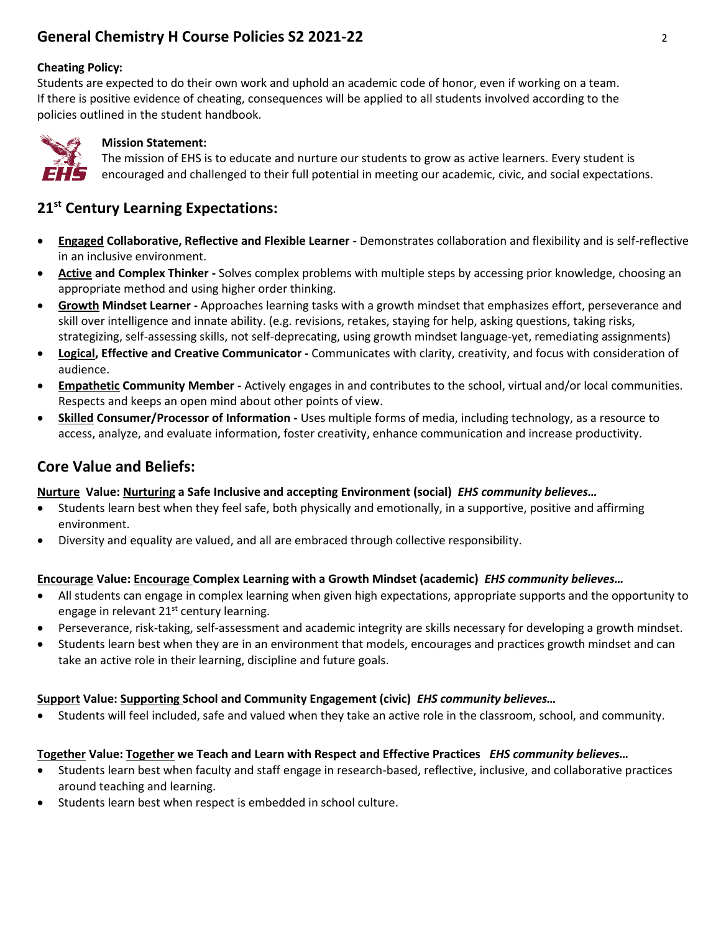# **General Chemistry H Course Policies S2 2021-22** 2

## **Cheating Policy:**

Students are expected to do their own work and uphold an academic code of honor, even if working on a team. If there is positive evidence of cheating, consequences will be applied to all students involved according to the policies outlined in the student handbook.



## **Mission Statement:**

The mission of EHS is to educate and nurture our students to grow as active learners. Every student is encouraged and challenged to their full potential in meeting our academic, civic, and social expectations.

## **21st Century Learning Expectations:**

- **Engaged Collaborative, Reflective and Flexible Learner -** Demonstrates collaboration and flexibility and is self-reflective in an inclusive environment.
- **Active and Complex Thinker -** Solves complex problems with multiple steps by accessing prior knowledge, choosing an appropriate method and using higher order thinking.
- **Growth Mindset Learner -** Approaches learning tasks with a growth mindset that emphasizes effort, perseverance and skill over intelligence and innate ability. (e.g. revisions, retakes, staying for help, asking questions, taking risks, strategizing, self-assessing skills, not self-deprecating, using growth mindset language-yet, remediating assignments)
- **Logical, Effective and Creative Communicator -** Communicates with clarity, creativity, and focus with consideration of audience.
- **Empathetic Community Member -** Actively engages in and contributes to the school, virtual and/or local communities. Respects and keeps an open mind about other points of view.
- **Skilled Consumer/Processor of Information -** Uses multiple forms of media, including technology, as a resource to access, analyze, and evaluate information, foster creativity, enhance communication and increase productivity.

## **Core Value and Beliefs:**

## **Nurture Value: Nurturing a Safe Inclusive and accepting Environment (social)** *EHS community believes…*

- Students learn best when they feel safe, both physically and emotionally, in a supportive, positive and affirming environment.
- Diversity and equality are valued, and all are embraced through collective responsibility.

## **Encourage Value: Encourage Complex Learning with a Growth Mindset (academic)** *EHS community believes…*

- All students can engage in complex learning when given high expectations, appropriate supports and the opportunity to engage in relevant  $21<sup>st</sup>$  century learning.
- Perseverance, risk-taking, self-assessment and academic integrity are skills necessary for developing a growth mindset.
- Students learn best when they are in an environment that models, encourages and practices growth mindset and can take an active role in their learning, discipline and future goals.

## **Support Value: Supporting School and Community Engagement (civic)** *EHS community believes…*

• Students will feel included, safe and valued when they take an active role in the classroom, school, and community.

## **Together Value: Together we Teach and Learn with Respect and Effective Practices** *EHS community believes…*

- Students learn best when faculty and staff engage in research-based, reflective, inclusive, and collaborative practices around teaching and learning.
- Students learn best when respect is embedded in school culture.